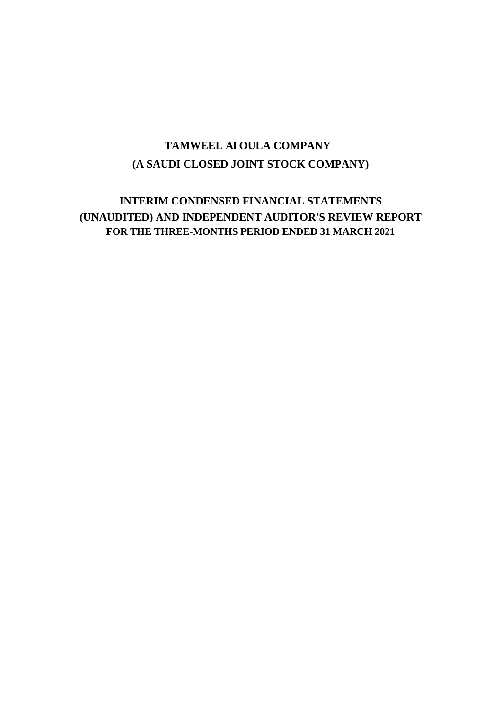### **(A SAUDI CLOSED JOINT STOCK COMPANY) TAMWEEL Al OULA COMPANY**

### **INTERIM CONDENSED FINANCIAL STATEMENTS (UNAUDITED) AND INDEPENDENT AUDITOR'S REVIEW REPORT FOR THE THREE-MONTHS PERIOD ENDED 31 MARCH 2021**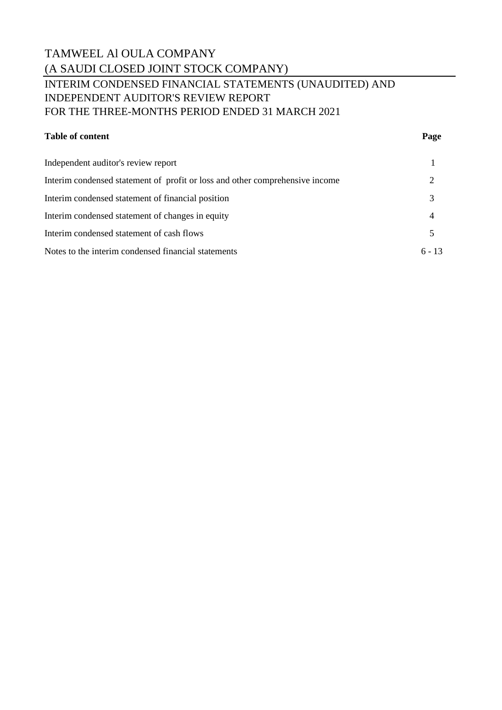### TAMWEEL Al OULA COMPANY (A SAUDI CLOSED JOINT STOCK COMPANY) INTERIM CONDENSED FINANCIAL STATEMENTS (UNAUDITED) AND INDEPENDENT AUDITOR'S REVIEW REPORT FOR THE THREE-MONTHS PERIOD ENDED 31 MARCH 2021

### **Table of content Page**

| Independent auditor's review report                                          |          |
|------------------------------------------------------------------------------|----------|
| Interim condensed statement of profit or loss and other comprehensive income |          |
| Interim condensed statement of financial position                            | 3        |
| Interim condensed statement of changes in equity                             | 4        |
| Interim condensed statement of cash flows                                    |          |
| Notes to the interim condensed financial statements                          | $6 - 13$ |
|                                                                              |          |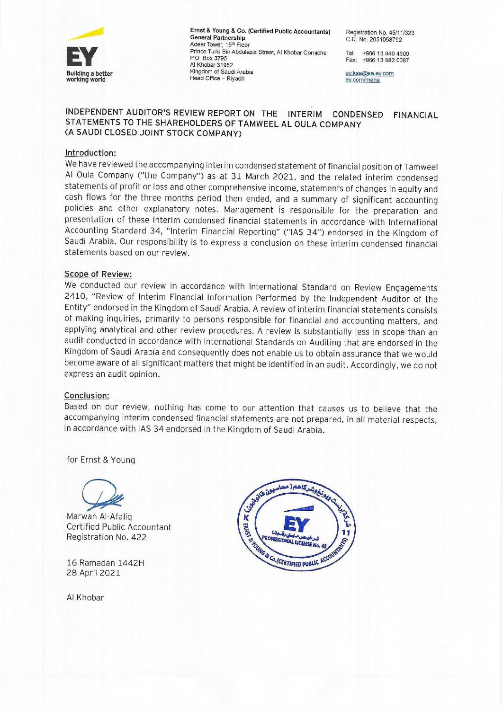

Ernst & Young & Co. (Certified Public Accountants) **General Partnership** Adeer Tower, 15th Floor Prince Turki Bin Abdulaziz Street, Al Khobar Corniche P.O. Box 3795 Al Khobar 31952 Kingdom of Saudi Arabia Head Office - Riyadh

Registration No. 45/11/323 C.R. No. 2051058792

Tel: +966 13 840 4600 Fax: +966 13 882 0087

ey.ksa@sa.ey.com ey.com/mena

#### INDEPENDENT AUDITOR'S REVIEW REPORT ON THE INTERIM CONDENSED **FINANCIAL** STATEMENTS TO THE SHAREHOLDERS OF TAMWEEL AL OULA COMPANY (A SAUDI CLOSED JOINT STOCK COMPANY)

#### Introduction:

We have reviewed the accompanying interim condensed statement of financial position of Tamweel Al Oula Company ("the Company") as at 31 March 2021, and the related interim condensed statements of profit or loss and other comprehensive income, statements of changes in equity and cash flows for the three months period then ended, and a summary of significant accounting policies and other explanatory notes. Management is responsible for the preparation and presentation of these interim condensed financial statements in accordance with International Accounting Standard 34, "Interim Financial Reporting" ("IAS 34") endorsed in the Kingdom of Saudi Arabia. Our responsibility is to express a conclusion on these interim condensed financial statements based on our review.

#### Scope of Review:

We conducted our review in accordance with International Standard on Review Engagements 2410, "Review of Interim Financial Information Performed by the Independent Auditor of the Entity" endorsed in the Kingdom of Saudi Arabia. A review of interim financial statements consists of making inquiries, primarily to persons responsible for financial and accounting matters, and applying analytical and other review procedures. A review is substantially less in scope than an audit conducted in accordance with International Standards on Auditing that are endorsed in the Kingdom of Saudi Arabia and consequently does not enable us to obtain assurance that we would become aware of all significant matters that might be identified in an audit. Accordingly, we do not express an audit opinion.

#### Conclusion:

Based on our review, nothing has come to our attention that causes us to believe that the accompanying interim condensed financial statements are not prepared, in all material respects, in accordance with IAS 34 endorsed in the Kingdom of Saudi Arabia.

for Ernst & Young



Marwan Al-Afalig Certified Public Accountant Registration No. 422

16 Ramadan 1442H 28 April 2021

Al Khobar

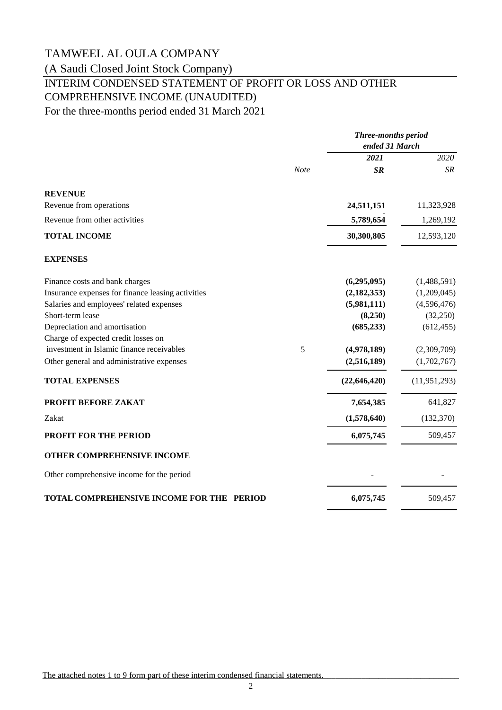(A Saudi Closed Joint Stock Company)

## INTERIM CONDENSED STATEMENT OF PROFIT OR LOSS AND OTHER COMPREHENSIVE INCOME (UNAUDITED)

For the three-months period ended 31 March 2021

|                                                   | <b>Three-months period</b><br>ended 31 March |                |
|---------------------------------------------------|----------------------------------------------|----------------|
|                                                   | 2021                                         | 2020           |
| Note                                              | SR                                           | SR             |
| <b>REVENUE</b>                                    |                                              |                |
| Revenue from operations                           | 24,511,151                                   | 11,323,928     |
| Revenue from other activities                     | 5,789,654                                    | 1,269,192      |
| <b>TOTAL INCOME</b>                               | 30,300,805                                   | 12,593,120     |
| <b>EXPENSES</b>                                   |                                              |                |
| Finance costs and bank charges                    | (6,295,095)                                  | (1,488,591)    |
| Insurance expenses for finance leasing activities | (2, 182, 353)                                | (1,209,045)    |
| Salaries and employees' related expenses          | (5,981,111)                                  | (4,596,476)    |
| Short-term lease                                  | (8,250)                                      | (32,250)       |
| Depreciation and amortisation                     | (685, 233)                                   | (612, 455)     |
| Charge of expected credit losses on               |                                              |                |
| investment in Islamic finance receivables<br>5    | (4,978,189)                                  | (2,309,709)    |
| Other general and administrative expenses         | (2,516,189)                                  | (1,702,767)    |
| <b>TOTAL EXPENSES</b>                             | (22, 646, 420)                               | (11, 951, 293) |
| PROFIT BEFORE ZAKAT                               | 7,654,385                                    | 641,827        |
| Zakat                                             | (1,578,640)                                  | (132, 370)     |
| PROFIT FOR THE PERIOD                             | 6,075,745                                    | 509,457        |
| OTHER COMPREHENSIVE INCOME                        |                                              |                |
| Other comprehensive income for the period         |                                              |                |
| TOTAL COMPREHENSIVE INCOME FOR THE PERIOD         | 6,075,745                                    | 509,457        |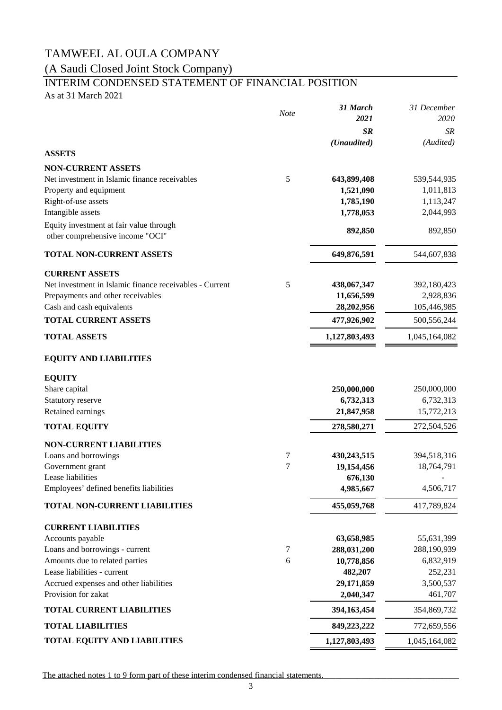(A Saudi Closed Joint Stock Company)

## INTERIM CONDENSED STATEMENT OF FINANCIAL POSITION

As at 31 March 2021

|                                                         | <b>Note</b> | 31 March      | 31 December   |
|---------------------------------------------------------|-------------|---------------|---------------|
|                                                         |             | 2021          | 2020          |
|                                                         |             | <b>SR</b>     | SR            |
|                                                         |             | (Unaudited)   | (Audited)     |
| <b>ASSETS</b>                                           |             |               |               |
| <b>NON-CURRENT ASSETS</b>                               |             |               |               |
| Net investment in Islamic finance receivables           | 5           | 643,899,408   | 539,544,935   |
| Property and equipment                                  |             | 1,521,090     | 1,011,813     |
| Right-of-use assets                                     |             | 1,785,190     | 1,113,247     |
| Intangible assets                                       |             | 1,778,053     | 2,044,993     |
| Equity investment at fair value through                 |             | 892,850       | 892,850       |
| other comprehensive income "OCI"                        |             |               |               |
| <b>TOTAL NON-CURRENT ASSETS</b>                         |             | 649,876,591   | 544,607,838   |
| <b>CURRENT ASSETS</b>                                   |             |               |               |
| Net investment in Islamic finance receivables - Current | 5           | 438,067,347   | 392,180,423   |
| Prepayments and other receivables                       |             | 11,656,599    | 2,928,836     |
| Cash and cash equivalents                               |             | 28,202,956    | 105,446,985   |
| <b>TOTAL CURRENT ASSETS</b>                             |             | 477,926,902   | 500,556,244   |
| <b>TOTAL ASSETS</b>                                     |             | 1,127,803,493 | 1,045,164,082 |
| <b>EQUITY AND LIABILITIES</b>                           |             |               |               |
| <b>EQUITY</b>                                           |             |               |               |
| Share capital                                           |             | 250,000,000   | 250,000,000   |
| Statutory reserve                                       |             | 6,732,313     | 6,732,313     |
| Retained earnings                                       |             | 21,847,958    | 15,772,213    |
| <b>TOTAL EQUITY</b>                                     |             | 278,580,271   | 272,504,526   |
| <b>NON-CURRENT LIABILITIES</b>                          |             |               |               |
| Loans and borrowings                                    | 7           | 430,243,515   | 394,518,316   |
| Government grant                                        | 7           | 19,154,456    | 18,764,791    |
| Lease liabilities                                       |             | 676,130       |               |
| Employees' defined benefits liabilities                 |             | 4,985,667     | 4,506,717     |
| TOTAL NON-CURRENT LIABILITIES                           |             | 455,059,768   | 417,789,824   |
| <b>CURRENT LIABILITIES</b>                              |             |               |               |
| Accounts payable                                        |             | 63,658,985    | 55,631,399    |
| Loans and borrowings - current                          | 7           | 288,031,200   | 288,190,939   |
| Amounts due to related parties                          | 6           | 10,778,856    | 6,832,919     |
| Lease liabilities - current                             |             | 482,207       | 252,231       |
| Accrued expenses and other liabilities                  |             | 29,171,859    | 3,500,537     |
| Provision for zakat                                     |             | 2,040,347     | 461,707       |
| <b>TOTAL CURRENT LIABILITIES</b>                        |             | 394,163,454   | 354,869,732   |
| <b>TOTAL LIABILITIES</b>                                |             | 849,223,222   | 772,659,556   |
| <b>TOTAL EQUITY AND LIABILITIES</b>                     |             | 1,127,803,493 | 1,045,164,082 |

The attached notes 1 to 9 form part of these interim condensed financial statements.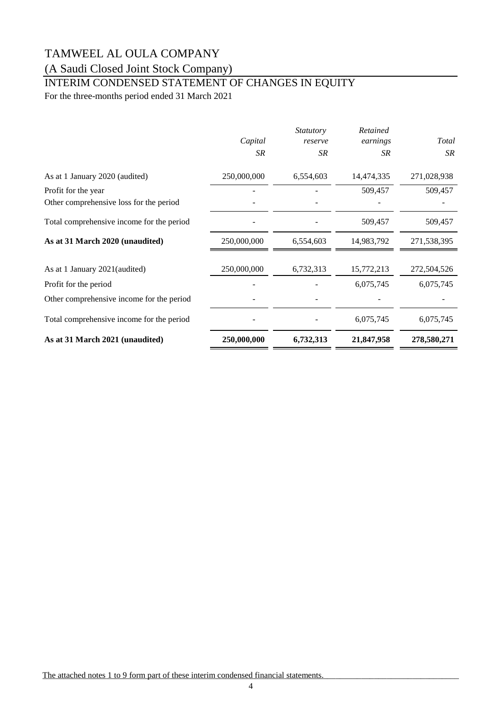### (A Saudi Closed Joint Stock Company)

## INTERIM CONDENSED STATEMENT OF CHANGES IN EQUITY

For the three-months period ended 31 March 2021

|                                           | Capital     | <i>Statutory</i><br>reserve | Retained<br>earnings | Total       |
|-------------------------------------------|-------------|-----------------------------|----------------------|-------------|
|                                           | SR          | SR.                         | SR                   | SR          |
| As at 1 January 2020 (audited)            | 250,000,000 | 6,554,603                   | 14,474,335           | 271,028,938 |
| Profit for the year                       |             |                             | 509,457              | 509,457     |
| Other comprehensive loss for the period   |             |                             |                      |             |
| Total comprehensive income for the period |             |                             | 509,457              | 509,457     |
| As at 31 March 2020 (unaudited)           | 250,000,000 | 6,554,603                   | 14,983,792           | 271,538,395 |
| As at 1 January 2021 (audited)            | 250,000,000 | 6,732,313                   | 15,772,213           | 272,504,526 |
| Profit for the period                     |             |                             | 6,075,745            | 6,075,745   |
| Other comprehensive income for the period |             |                             |                      |             |
| Total comprehensive income for the period |             |                             | 6,075,745            | 6,075,745   |
| As at 31 March 2021 (unaudited)           | 250,000,000 | 6,732,313                   | 21,847,958           | 278,580,271 |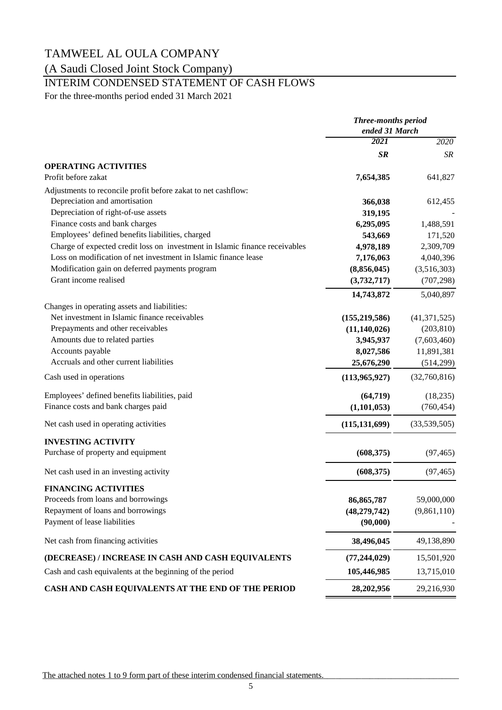### (A Saudi Closed Joint Stock Company)

### INTERIM CONDENSED STATEMENT OF CASH FLOWS

For the three-months period ended 31 March 2021

|                                                                             | <b>Three-months period</b><br>ended 31 March |                |
|-----------------------------------------------------------------------------|----------------------------------------------|----------------|
|                                                                             | 2021                                         | 2020           |
|                                                                             | <b>SR</b>                                    | SR             |
| <b>OPERATING ACTIVITIES</b>                                                 |                                              |                |
| Profit before zakat                                                         | 7,654,385                                    | 641,827        |
| Adjustments to reconcile profit before zakat to net cashflow:               |                                              |                |
| Depreciation and amortisation                                               | 366,038                                      | 612,455        |
| Depreciation of right-of-use assets                                         | 319,195                                      |                |
| Finance costs and bank charges                                              | 6,295,095                                    | 1,488,591      |
| Employees' defined benefits liabilities, charged                            | 543,669                                      | 171,520        |
| Charge of expected credit loss on investment in Islamic finance receivables | 4,978,189                                    | 2,309,709      |
| Loss on modification of net investment in Islamic finance lease             | 7,176,063                                    | 4,040,396      |
| Modification gain on deferred payments program                              | (8,856,045)                                  | (3,516,303)    |
| Grant income realised                                                       | (3,732,717)                                  | (707, 298)     |
|                                                                             | 14,743,872                                   | 5,040,897      |
| Changes in operating assets and liabilities:                                |                                              |                |
| Net investment in Islamic finance receivables                               | (155, 219, 586)                              | (41, 371, 525) |
| Prepayments and other receivables                                           | (11, 140, 026)                               | (203, 810)     |
| Amounts due to related parties                                              | 3,945,937                                    | (7,603,460)    |
| Accounts payable                                                            | 8,027,586                                    | 11,891,381     |
| Accruals and other current liabilities                                      | 25,676,290                                   | (514, 299)     |
| Cash used in operations                                                     | (113,965,927)                                | (32,760,816)   |
| Employees' defined benefits liabilities, paid                               | (64, 719)                                    | (18, 235)      |
| Finance costs and bank charges paid                                         | (1,101,053)                                  | (760, 454)     |
| Net cash used in operating activities                                       | (115, 131, 699)                              | (33,539,505)   |
| <b>INVESTING ACTIVITY</b>                                                   |                                              |                |
| Purchase of property and equipment                                          | (608, 375)                                   | (97, 465)      |
| Net cash used in an investing activity                                      | (608, 375)                                   | (97, 465)      |
| <b>FINANCING ACTIVITIES</b>                                                 |                                              |                |
| Proceeds from loans and borrowings                                          | 86, 865, 787                                 | 59,000,000     |
| Repayment of loans and borrowings                                           | (48, 279, 742)                               | (9,861,110)    |
| Payment of lease liabilities                                                | (90,000)                                     |                |
| Net cash from financing activities                                          | 38,496,045                                   | 49,138,890     |
| (DECREASE) / INCREASE IN CASH AND CASH EQUIVALENTS                          | (77, 244, 029)                               | 15,501,920     |
| Cash and cash equivalents at the beginning of the period                    | 105,446,985                                  | 13,715,010     |
| CASH AND CASH EQUIVALENTS AT THE END OF THE PERIOD                          | 28,202,956                                   | 29,216,930     |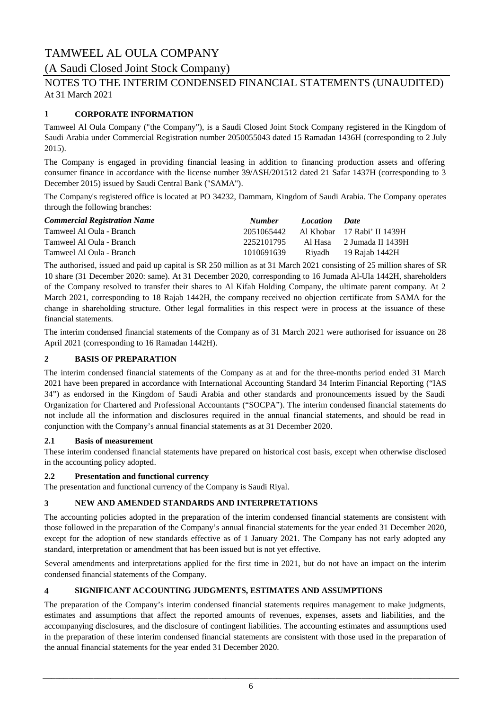### (A Saudi Closed Joint Stock Company)

### At 31 March 2021 NOTES TO THE INTERIM CONDENSED FINANCIAL STATEMENTS (UNAUDITED)

### **1 CORPORATE INFORMATION**

Tamweel Al Oula Company ("the Company"), is a Saudi Closed Joint Stock Company registered in the Kingdom of Saudi Arabia under Commercial Registration number 2050055043 dated 15 Ramadan 1436H (corresponding to 2 July 2015).

The Company is engaged in providing financial leasing in addition to financing production assets and offering consumer finance in accordance with the license number 39/ASH/201512 dated 21 Safar 1437H (corresponding to 3 December 2015) issued by Saudi Central Bank ("SAMA").

The Company's registered office is located at PO 34232, Dammam, Kingdom of Saudi Arabia. The Company operates through the following branches:

| <b>Commercial Registration Name</b> | <b>Number</b> | Location Date |                                        |
|-------------------------------------|---------------|---------------|----------------------------------------|
| Tamweel Al Oula - Branch            |               |               | 2051065442 Al Khobar 17 Rabi' II 1439H |
| Tamweel Al Oula - Branch            | 2252101795    |               | Al Hasa 2 Jumada II 1439H              |
| Tamweel Al Oula - Branch            | 1010691639    |               | Riyadh 19 Rajab 1442H                  |

The authorised, issued and paid up capital is SR 250 million as at 31 March 2021 consisting of 25 million shares of SR 10 share (31 December 2020: same). At 31 December 2020, corresponding to 16 Jumada Al-Ula 1442H, shareholders of the Company resolved to transfer their shares to Al Kifah Holding Company, the ultimate parent company. At 2 March 2021, corresponding to 18 Rajab 1442H, the company received no objection certificate from SAMA for the change in shareholding structure. Other legal formalities in this respect were in process at the issuance of these financial statements.

The interim condensed financial statements of the Company as of 31 March 2021 were authorised for issuance on 28 April 2021 (corresponding to 16 Ramadan 1442H).

#### **2 BASIS OF PREPARATION**

The interim condensed financial statements of the Company as at and for the three-months period ended 31 March 2021 have been prepared in accordance with International Accounting Standard 34 Interim Financial Reporting ("IAS 34") as endorsed in the Kingdom of Saudi Arabia and other standards and pronouncements issued by the Saudi Organization for Chartered and Professional Accountants ("SOCPA"). The interim condensed financial statements do not include all the information and disclosures required in the annual financial statements, and should be read in conjunction with the Company's annual financial statements as at 31 December 2020.

#### **2.1 Basis of measurement**

These interim condensed financial statements have prepared on historical cost basis, except when otherwise disclosed in the accounting policy adopted.

#### **2.2 Presentation and functional currency**

The presentation and functional currency of the Company is Saudi Riyal.

#### **3 NEW AND AMENDED STANDARDS AND INTERPRETATIONS**

The accounting policies adopted in the preparation of the interim condensed financial statements are consistent with those followed in the preparation of the Company's annual financial statements for the year ended 31 December 2020, except for the adoption of new standards effective as of 1 January 2021. The Company has not early adopted any standard, interpretation or amendment that has been issued but is not yet effective.

Several amendments and interpretations applied for the first time in 2021, but do not have an impact on the interim condensed financial statements of the Company.

#### **4 SIGNIFICANT ACCOUNTING JUDGMENTS, ESTIMATES AND ASSUMPTIONS**

The preparation of the Company's interim condensed financial statements requires management to make judgments, estimates and assumptions that affect the reported amounts of revenues, expenses, assets and liabilities, and the accompanying disclosures, and the disclosure of contingent liabilities. The accounting estimates and assumptions used in the preparation of these interim condensed financial statements are consistent with those used in the preparation of the annual financial statements for the year ended 31 December 2020.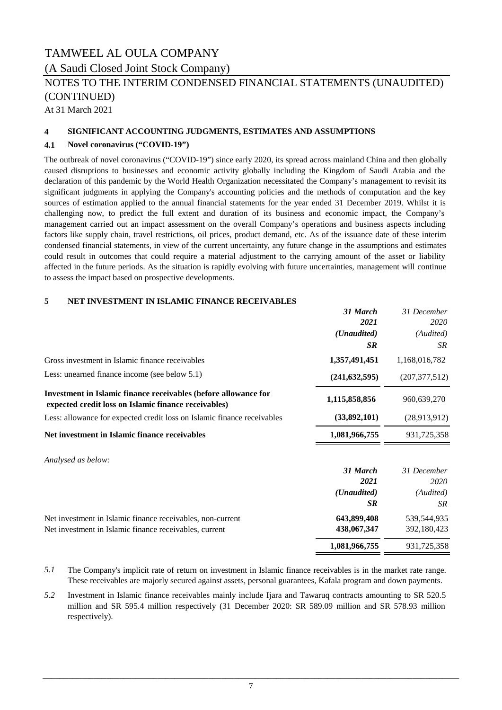### TAMWEEL AL OULA COMPANY (A Saudi Closed Joint Stock Company)

### NOTES TO THE INTERIM CONDENSED FINANCIAL STATEMENTS (UNAUDITED) (CONTINUED)

At 31 March 2021

#### **4 SIGNIFICANT ACCOUNTING JUDGMENTS, ESTIMATES AND ASSUMPTIONS**

#### **4.1 Novel coronavirus ("COVID-19")**

The outbreak of novel coronavirus ("COVID-19") since early 2020, its spread across mainland China and then globally caused disruptions to businesses and economic activity globally including the Kingdom of Saudi Arabia and the declaration of this pandemic by the World Health Organization necessitated the Company's management to revisit its significant judgments in applying the Company's accounting policies and the methods of computation and the key sources of estimation applied to the annual financial statements for the year ended 31 December 2019. Whilst it is challenging now, to predict the full extent and duration of its business and economic impact, the Company's management carried out an impact assessment on the overall Company's operations and business aspects including factors like supply chain, travel restrictions, oil prices, product demand, etc. As of the issuance date of these interim condensed financial statements, in view of the current uncertainty, any future change in the assumptions and estimates could result in outcomes that could require a material adjustment to the carrying amount of the asset or liability affected in the future periods. As the situation is rapidly evolving with future uncertainties, management will continue to assess the impact based on prospective developments.

#### **5 NET INVESTMENT IN ISLAMIC FINANCE RECEIVABLES**

| 31 March        | 31 December         |
|-----------------|---------------------|
|                 | 2020<br>(Audited)   |
| <b>SR</b>       | SR                  |
| 1,357,491,451   | 1,168,016,782       |
| (241, 632, 595) | (207, 377, 512)     |
| 1,115,858,856   | 960,639,270         |
| (33,892,101)    | (28,913,912)        |
| 1,081,966,755   | 931,725,358         |
|                 |                     |
| 31 March        | 31 December         |
| 2021            | 2020                |
| (Unaudited)     | (Audited)           |
| <b>SR</b>       | <b>SR</b>           |
| 643,899,408     | 539,544,935         |
| 438,067,347     | 392,180,423         |
| 1,081,966,755   | 931,725,358         |
|                 | 2021<br>(Unaudited) |

- *5.1* The Company's implicit rate of return on investment in Islamic finance receivables is in the market rate range. These receivables are majorly secured against assets, personal guarantees, Kafala program and down payments.
- *5.2* Investment in Islamic finance receivables mainly include Ijara and Tawaruq contracts amounting to SR 520.5 million and SR 595.4 million respectively (31 December 2020: SR 589.09 million and SR 578.93 million respectively).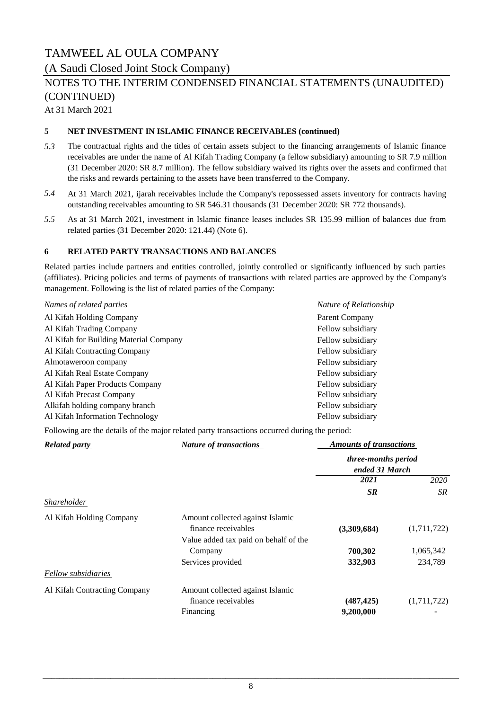(A Saudi Closed Joint Stock Company)

### NOTES TO THE INTERIM CONDENSED FINANCIAL STATEMENTS (UNAUDITED) (CONTINUED)

At 31 March 2021

#### **5 NET INVESTMENT IN ISLAMIC FINANCE RECEIVABLES (continued)**

- *5.3* The contractual rights and the titles of certain assets subject to the financing arrangements of Islamic finance receivables are under the name of Al Kifah Trading Company (a fellow subsidiary) amounting to SR 7.9 million (31 December 2020: SR 8.7 million). The fellow subsidiary waived its rights over the assets and confirmed that the risks and rewards pertaining to the assets have been transferred to the Company.
- *5.4* At 31 March 2021, ijarah receivables include the Company's repossessed assets inventory for contracts having outstanding receivables amounting to SR 546.31 thousands (31 December 2020: SR 772 thousands).
- *5.5* As at 31 March 2021, investment in Islamic finance leases includes SR 135.99 million of balances due from related parties (31 December 2020: 121.44) (Note 6).

#### **6 RELATED PARTY TRANSACTIONS AND BALANCES**

Related parties include partners and entities controlled, jointly controlled or significantly influenced by such parties (affiliates). Pricing policies and terms of payments of transactions with related parties are approved by the Company's management. Following is the list of related parties of the Company:

| Names of related parties               | Nature of Relationship |
|----------------------------------------|------------------------|
| Al Kifah Holding Company               | Parent Company         |
| Al Kifah Trading Company               | Fellow subsidiary      |
| Al Kifah for Building Material Company | Fellow subsidiary      |
| Al Kifah Contracting Company           | Fellow subsidiary      |
| Almotaweroon company                   | Fellow subsidiary      |
| Al Kifah Real Estate Company           | Fellow subsidiary      |
| Al Kifah Paper Products Company        | Fellow subsidiary      |
| Al Kifah Precast Company               | Fellow subsidiary      |
| Alkifah holding company branch         | Fellow subsidiary      |
| Al Kifah Information Technology        | Fellow subsidiary      |

Following are the details of the major related party transactions occurred during the period:

| <b>Related party</b>         | <b>Nature of transactions</b>                           | <b>Amounts of transactions</b>        |             |
|------------------------------|---------------------------------------------------------|---------------------------------------|-------------|
|                              |                                                         | three-months period<br>ended 31 March |             |
|                              |                                                         | 2021                                  | 2020        |
|                              |                                                         | <b>SR</b>                             | SR.         |
| Shareholder                  |                                                         |                                       |             |
| Al Kifah Holding Company     | Amount collected against Islamic<br>finance receivables | (3,309,684)                           | (1,711,722) |
|                              | Value added tax paid on behalf of the<br>Company        | 700,302                               | 1,065,342   |
|                              | Services provided                                       | 332,903                               | 234,789     |
| Fellow subsidiaries          |                                                         |                                       |             |
| Al Kifah Contracting Company | Amount collected against Islamic                        |                                       |             |
|                              | finance receivables                                     | (487, 425)                            | (1,711,722) |
|                              | Financing                                               | 9,200,000                             |             |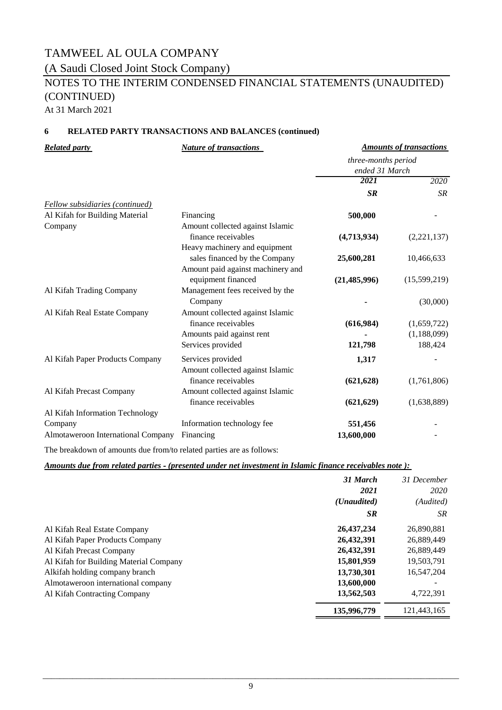### TAMWEEL AL OULA COMPANY (A Saudi Closed Joint Stock Company)

## NOTES TO THE INTERIM CONDENSED FINANCIAL STATEMENTS (UNAUDITED) (CONTINUED)

*Amounts of transactions*

At 31 March 2021

#### **6 RELATED PARTY TRANSACTIONS AND BALANCES (continued)**

*Related party Nature of transactions*

|                                    |                                   | three-months period<br>ended 31 March |              |
|------------------------------------|-----------------------------------|---------------------------------------|--------------|
|                                    |                                   |                                       |              |
|                                    |                                   | 2021                                  | 2020         |
|                                    |                                   | <b>SR</b>                             | <b>SR</b>    |
| Fellow subsidiaries (continued)    |                                   |                                       |              |
| Al Kifah for Building Material     | Financing                         | 500,000                               |              |
| Company                            | Amount collected against Islamic  |                                       |              |
|                                    | finance receivables               | (4,713,934)                           | (2,221,137)  |
|                                    | Heavy machinery and equipment     |                                       |              |
|                                    | sales financed by the Company     | 25,600,281                            | 10,466,633   |
|                                    | Amount paid against machinery and |                                       |              |
|                                    | equipment financed                | (21, 485, 996)                        | (15,599,219) |
| Al Kifah Trading Company           | Management fees received by the   |                                       |              |
|                                    | Company                           |                                       | (30,000)     |
| Al Kifah Real Estate Company       | Amount collected against Islamic  |                                       |              |
|                                    | finance receivables               | (616,984)                             | (1,659,722)  |
|                                    | Amounts paid against rent         |                                       | (1,188,099)  |
|                                    | Services provided                 | 121,798                               | 188,424      |
| Al Kifah Paper Products Company    | Services provided                 | 1,317                                 |              |
|                                    | Amount collected against Islamic  |                                       |              |
|                                    | finance receivables               | (621, 628)                            | (1,761,806)  |
| Al Kifah Precast Company           | Amount collected against Islamic  |                                       |              |
|                                    | finance receivables               | (621, 629)                            | (1,638,889)  |
| Al Kifah Information Technology    |                                   |                                       |              |
| Company                            | Information technology fee        | 551,456                               |              |
| Almotaweroon International Company | Financing                         | 13,600,000                            |              |
|                                    |                                   |                                       |              |

The breakdown of amounts due from/to related parties are as follows:

#### *Amounts due from related parties ‑ (presented under net investment in Islamic finance receivables note ):*

|                                        | 31 March<br>2021     | 31 December<br>2020 |
|----------------------------------------|----------------------|---------------------|
|                                        | ( <i>Unaudited</i> ) | (Audited)           |
|                                        | <b>SR</b>            | <b>SR</b>           |
| Al Kifah Real Estate Company           | 26,437,234           | 26,890,881          |
| Al Kifah Paper Products Company        | 26,432,391           | 26,889,449          |
| Al Kifah Precast Company               | 26,432,391           | 26,889,449          |
| Al Kifah for Building Material Company | 15,801,959           | 19,503,791          |
| Alkifah holding company branch         | 13,730,301           | 16,547,204          |
| Almotaweroon international company     | 13,600,000           |                     |
| Al Kifah Contracting Company           | 13,562,503           | 4,722,391           |
|                                        | 135,996,779          | 121,443,165         |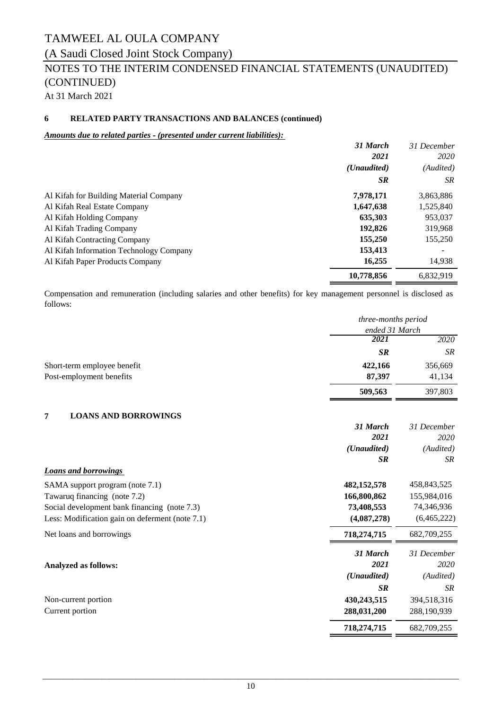### (A Saudi Closed Joint Stock Company)

### NOTES TO THE INTERIM CONDENSED FINANCIAL STATEMENTS (UNAUDITED) (CONTINUED)

At 31 March 2021

### **6 RELATED PARTY TRANSACTIONS AND BALANCES (continued)**

#### *Amounts due to related parties ‑ (presented under current liabilities):*

|                                         | 31 March             | 31 December |
|-----------------------------------------|----------------------|-------------|
|                                         | 2021                 | 2020        |
|                                         | ( <i>Unaudited</i> ) | (Audited)   |
|                                         | <b>SR</b>            | SR.         |
| Al Kifah for Building Material Company  | 7,978,171            | 3,863,886   |
| Al Kifah Real Estate Company            | 1,647,638            | 1,525,840   |
| Al Kifah Holding Company                | 635,303              | 953,037     |
| Al Kifah Trading Company                | 192,826              | 319,968     |
| Al Kifah Contracting Company            | 155,250              | 155,250     |
| Al Kifah Information Technology Company | 153,413              |             |
| Al Kifah Paper Products Company         | 16,255               | 14,938      |
|                                         | 10,778,856           | 6.832.919   |

Compensation and remuneration (including salaries and other benefits) for key management personnel is disclosed as follows:

|                                                 | three-months period  |             |
|-------------------------------------------------|----------------------|-------------|
|                                                 | ended 31 March       |             |
|                                                 | 2021                 | 2020        |
|                                                 | <b>SR</b>            | <b>SR</b>   |
| Short-term employee benefit                     | 422,166              | 356,669     |
| Post-employment benefits                        | 87,397               | 41,134      |
|                                                 | 509,563              | 397,803     |
| <b>LOANS AND BORROWINGS</b><br>7                |                      |             |
|                                                 | 31 March             | 31 December |
|                                                 | 2021                 | 2020        |
|                                                 | (Unaudited)          | (Audited)   |
|                                                 | SR                   | <b>SR</b>   |
| <b>Loans and borrowings</b>                     |                      |             |
| SAMA support program (note 7.1)                 | 482,152,578          | 458,843,525 |
| Tawaruq financing (note 7.2)                    | 166,800,862          | 155,984,016 |
| Social development bank financing (note 7.3)    | 73,408,553           | 74,346,936  |
| Less: Modification gain on deferment (note 7.1) | (4,087,278)          | (6,465,222) |
| Net loans and borrowings                        | 718,274,715          | 682,709,255 |
|                                                 | 31 March             | 31 December |
| <b>Analyzed as follows:</b>                     | 2021                 | 2020        |
|                                                 | ( <i>Unaudited</i> ) | (Audited)   |
|                                                 | SR                   | <b>SR</b>   |
| Non-current portion                             | 430,243,515          | 394,518,316 |
| Current portion                                 | 288,031,200          | 288,190,939 |
|                                                 | 718,274,715          | 682,709,255 |
|                                                 |                      |             |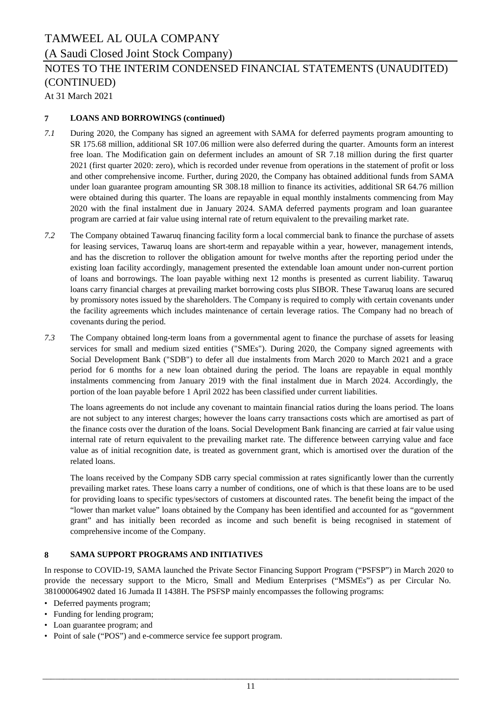### (A Saudi Closed Joint Stock Company)

### NOTES TO THE INTERIM CONDENSED FINANCIAL STATEMENTS (UNAUDITED) (CONTINUED)

At 31 March 2021

### **7 LOANS AND BORROWINGS (continued)**

- *7.1* During 2020, the Company has signed an agreement with SAMA for deferred payments program amounting to SR 175.68 million, additional SR 107.06 million were also deferred during the quarter. Amounts form an interest free loan. The Modification gain on deferment includes an amount of SR 7.18 million during the first quarter 2021 (first quarter 2020: zero), which is recorded under revenue from operations in the statement of profit or loss and other comprehensive income. Further, during 2020, the Company has obtained additional funds from SAMA under loan guarantee program amounting SR 308.18 million to finance its activities, additional SR 64.76 million were obtained during this quarter. The loans are repayable in equal monthly instalments commencing from May 2020 with the final instalment due in January 2024. SAMA deferred payments program and loan guarantee program are carried at fair value using internal rate of return equivalent to the prevailing market rate.
- *7.2* The Company obtained Tawaruq financing facility form a local commercial bank to finance the purchase of assets for leasing services, Tawaruq loans are short-term and repayable within a year, however, management intends, and has the discretion to rollover the obligation amount for twelve months after the reporting period under the existing loan facility accordingly, management presented the extendable loan amount under non-current portion of loans and borrowings. The loan payable withing next 12 months is presented as current liability. Tawaruq loans carry financial charges at prevailing market borrowing costs plus SIBOR. These Tawaruq loans are secured by promissory notes issued by the shareholders. The Company is required to comply with certain covenants under the facility agreements which includes maintenance of certain leverage ratios. The Company had no breach of covenants during the period.
- *7.3* The Company obtained long-term loans from a governmental agent to finance the purchase of assets for leasing services for small and medium sized entities ("SMEs"). During 2020, the Company signed agreements with Social Development Bank ("SDB") to defer all due instalments from March 2020 to March 2021 and a grace period for 6 months for a new loan obtained during the period. The loans are repayable in equal monthly instalments commencing from January 2019 with the final instalment due in March 2024. Accordingly, the portion of the loan payable before 1 April 2022 has been classified under current liabilities.

The loans agreements do not include any covenant to maintain financial ratios during the loans period. The loans are not subject to any interest charges; however the loans carry transactions costs which are amortised as part of the finance costs over the duration of the loans. Social Development Bank financing are carried at fair value using internal rate of return equivalent to the prevailing market rate. The difference between carrying value and face value as of initial recognition date, is treated as government grant, which is amortised over the duration of the related loans.

The loans received by the Company SDB carry special commission at rates significantly lower than the currently prevailing market rates. These loans carry a number of conditions, one of which is that these loans are to be used for providing loans to specific types/sectors of customers at discounted rates. The benefit being the impact of the "lower than market value" loans obtained by the Company has been identified and accounted for as "government grant" and has initially been recorded as income and such benefit is being recognised in statement of comprehensive income of the Company.

#### **8 SAMA SUPPORT PROGRAMS AND INITIATIVES**

In response to COVID-19, SAMA launched the Private Sector Financing Support Program ("PSFSP") in March 2020 to provide the necessary support to the Micro, Small and Medium Enterprises ("MSMEs") as per Circular No. 381000064902 dated 16 Jumada II 1438H. The PSFSP mainly encompasses the following programs:

- Deferred payments program;
- Funding for lending program;
- Loan guarantee program; and
- Point of sale ("POS") and e-commerce service fee support program.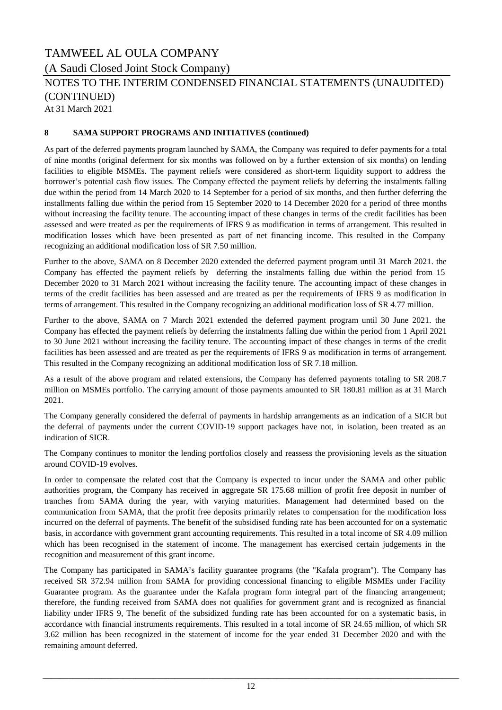(A Saudi Closed Joint Stock Company)

### NOTES TO THE INTERIM CONDENSED FINANCIAL STATEMENTS (UNAUDITED) (CONTINUED)

At 31 March 2021

### **8 SAMA SUPPORT PROGRAMS AND INITIATIVES (continued)**

As part of the deferred payments program launched by SAMA, the Company was required to defer payments for a total of nine months (original deferment for six months was followed on by a further extension of six months) on lending facilities to eligible MSMEs. The payment reliefs were considered as short-term liquidity support to address the borrower's potential cash flow issues. The Company effected the payment reliefs by deferring the instalments falling due within the period from 14 March 2020 to 14 September for a period of six months, and then further deferring the installments falling due within the period from 15 September 2020 to 14 December 2020 for a period of three months without increasing the facility tenure. The accounting impact of these changes in terms of the credit facilities has been assessed and were treated as per the requirements of IFRS 9 as modification in terms of arrangement. This resulted in modification losses which have been presented as part of net financing income. This resulted in the Company recognizing an additional modification loss of SR 7.50 million.

Further to the above, SAMA on 8 December 2020 extended the deferred payment program until 31 March 2021. the Company has effected the payment reliefs by deferring the instalments falling due within the period from 15 December 2020 to 31 March 2021 without increasing the facility tenure. The accounting impact of these changes in terms of the credit facilities has been assessed and are treated as per the requirements of IFRS 9 as modification in terms of arrangement. This resulted in the Company recognizing an additional modification loss of SR 4.77 million.

Further to the above, SAMA on 7 March 2021 extended the deferred payment program until 30 June 2021. the Company has effected the payment reliefs by deferring the instalments falling due within the period from 1 April 2021 to 30 June 2021 without increasing the facility tenure. The accounting impact of these changes in terms of the credit facilities has been assessed and are treated as per the requirements of IFRS 9 as modification in terms of arrangement. This resulted in the Company recognizing an additional modification loss of SR 7.18 million.

As a result of the above program and related extensions, the Company has deferred payments totaling to SR 208.7 million on MSMEs portfolio. The carrying amount of those payments amounted to SR 180.81 million as at 31 March 2021.

The Company generally considered the deferral of payments in hardship arrangements as an indication of a SICR but the deferral of payments under the current COVID-19 support packages have not, in isolation, been treated as an indication of SICR.

The Company continues to monitor the lending portfolios closely and reassess the provisioning levels as the situation around COVID-19 evolves.

In order to compensate the related cost that the Company is expected to incur under the SAMA and other public authorities program, the Company has received in aggregate SR 175.68 million of profit free deposit in number of tranches from SAMA during the year, with varying maturities. Management had determined based on the communication from SAMA, that the profit free deposits primarily relates to compensation for the modification loss incurred on the deferral of payments. The benefit of the subsidised funding rate has been accounted for on a systematic basis, in accordance with government grant accounting requirements. This resulted in a total income of SR 4.09 million which has been recognised in the statement of income. The management has exercised certain judgements in the recognition and measurement of this grant income.

The Company has participated in SAMA's facility guarantee programs (the "Kafala program"). The Company has received SR 372.94 million from SAMA for providing concessional financing to eligible MSMEs under Facility Guarantee program. As the guarantee under the Kafala program form integral part of the financing arrangement; therefore, the funding received from SAMA does not qualifies for government grant and is recognized as financial liability under IFRS 9, The benefit of the subsidized funding rate has been accounted for on a systematic basis, in accordance with financial instruments requirements. This resulted in a total income of SR 24.65 million, of which SR 3.62 million has been recognized in the statement of income for the year ended 31 December 2020 and with the remaining amount deferred.